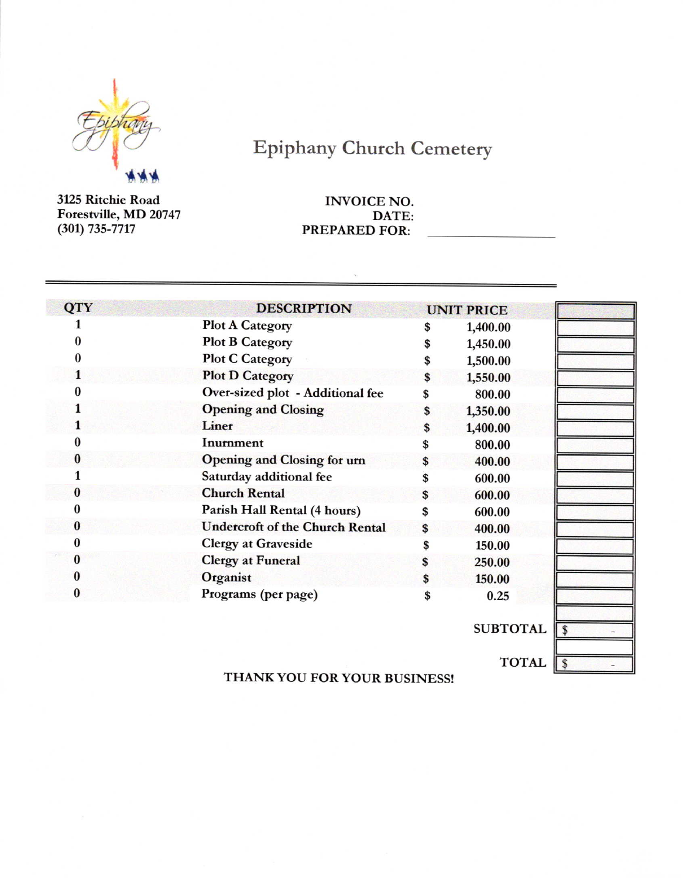

## **Epiphany Church Cemetery**

3125 Ritchie Road Forestville, MD 20747  $(301) 735 - 7717$ 

## **INVOICE NO.** DATE: **PREPARED FOR:**

| <b>QTY</b> | <b>DESCRIPTION</b>                     | <b>UNIT PRICE</b> |  |
|------------|----------------------------------------|-------------------|--|
|            | <b>Plot A Category</b>                 | \$<br>1,400.00    |  |
|            | <b>Plot B Category</b>                 | \$<br>1,450.00    |  |
|            | <b>Plot C Category</b>                 | \$<br>1,500.00    |  |
|            | <b>Plot D Category</b>                 | \$<br>1,550.00    |  |
|            | Over-sized plot - Additional fee       | 800.00            |  |
|            | <b>Opening and Closing</b>             | \$<br>1,350.00    |  |
|            | Liner                                  | \$<br>1,400.00    |  |
|            | Inurnment                              | \$<br>800.00      |  |
|            | <b>Opening and Closing for urn</b>     | \$<br>400.00      |  |
|            | Saturday additional fee                | \$<br>600.00      |  |
| $\bf{0}$   | <b>Church Rental</b>                   | \$<br>600.00      |  |
|            | Parish Hall Rental (4 hours)           | \$<br>600.00      |  |
| 0          | <b>Undercroft of the Church Rental</b> | \$<br>400.00      |  |
|            | <b>Clergy at Graveside</b>             | \$<br>150.00      |  |
|            | <b>Clergy at Funeral</b>               | \$<br>250.00      |  |
|            | Organist                               | \$<br>150.00      |  |
|            | Programs (per page)                    | 0.25              |  |

SUBTOTAL 5



THANK YOU FOR YOUR BUSINESS!

TOTAL S